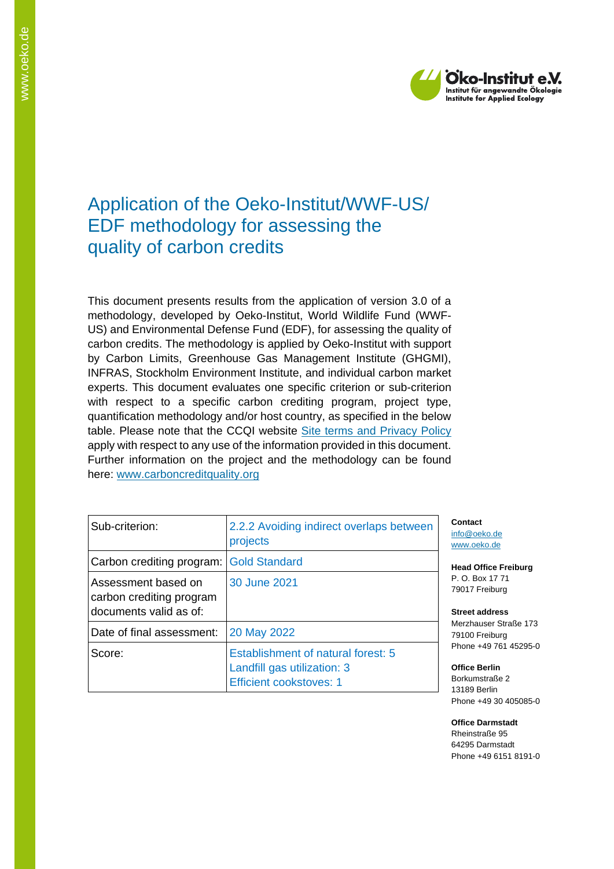

## Application of the Oeko-Institut/WWF-US/ EDF methodology for assessing the quality of carbon credits

This document presents results from the application of version 3.0 of a methodology, developed by Oeko-Institut, World Wildlife Fund (WWF-US) and Environmental Defense Fund (EDF), for assessing the quality of carbon credits. The methodology is applied by Oeko-Institut with support by Carbon Limits, Greenhouse Gas Management Institute (GHGMI), INFRAS, Stockholm Environment Institute, and individual carbon market experts. This document evaluates one specific criterion or sub-criterion with respect to a specific carbon crediting program, project type, quantification methodology and/or host country, as specified in the below table. Please note that the CCQI website [Site terms and Privacy Policy](https://carboncreditquality.org/terms.html) apply with respect to any use of the information provided in this document. Further information on the project and the methodology can be found here: [www.carboncreditquality.org](http://www.carboncreditquality.org/)

| Sub-criterion:                                                            | 2.2.2 Avoiding indirect overlaps between<br>projects                                                |
|---------------------------------------------------------------------------|-----------------------------------------------------------------------------------------------------|
| Carbon crediting program:                                                 | <b>Gold Standard</b>                                                                                |
| Assessment based on<br>carbon crediting program<br>documents valid as of: | 30 June 2021                                                                                        |
| Date of final assessment:                                                 | 20 May 2022                                                                                         |
| Score:                                                                    | Establishment of natural forest: 5<br>Landfill gas utilization: 3<br><b>Efficient cookstoves: 1</b> |

**Contact** [info@oeko.de](mailto:info@oeko.de) [www.oeko.de](http://www.oeko.de/)

**Head Office Freiburg** P. O. Box 17 71 79017 Freiburg

**Street address** Merzhauser Straße 173 79100 Freiburg Phone +49 761 45295-0

**Office Berlin** Borkumstraße 2 13189 Berlin Phone +49 30 405085-0

**Office Darmstadt** Rheinstraße 95 64295 Darmstadt Phone +49 6151 8191-0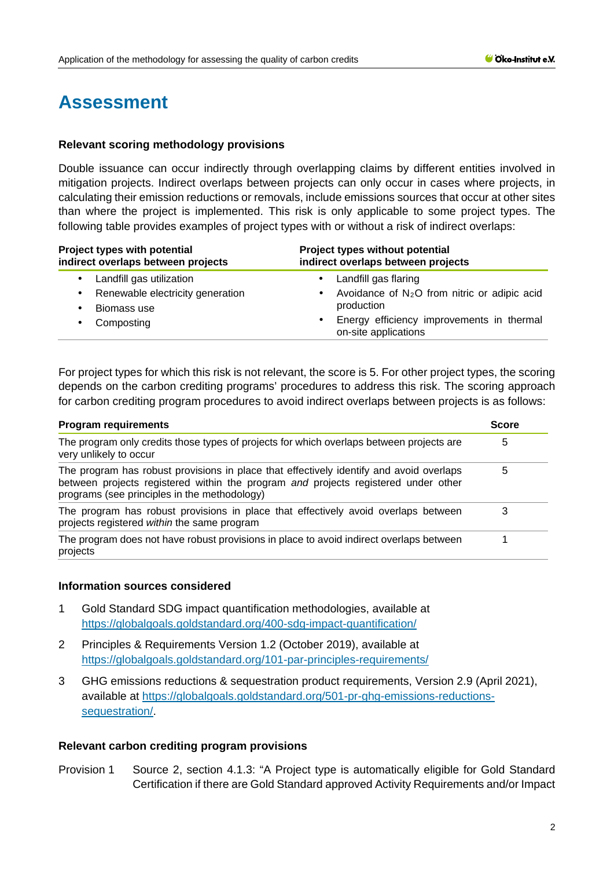# **Assessment**

#### **Relevant scoring methodology provisions**

Double issuance can occur indirectly through overlapping claims by different entities involved in mitigation projects. Indirect overlaps between projects can only occur in cases where projects, in calculating their emission reductions or removals, include emissions sources that occur at other sites than where the project is implemented. This risk is only applicable to some project types. The following table provides examples of project types with or without a risk of indirect overlaps:

| Project types with potential<br>indirect overlaps between projects | Project types without potential<br>indirect overlaps between projects          |
|--------------------------------------------------------------------|--------------------------------------------------------------------------------|
| Landfill gas utilization                                           | Landfill gas flaring<br>٠                                                      |
| Renewable electricity generation                                   | Avoidance of $N_2O$ from nitric or adipic acid                                 |
| Biomass use                                                        | production                                                                     |
| Composting                                                         | Energy efficiency improvements in thermal<br>$\bullet$<br>on-site applications |

For project types for which this risk is not relevant, the score is 5. For other project types, the scoring depends on the carbon crediting programs' procedures to address this risk. The scoring approach for carbon crediting program procedures to avoid indirect overlaps between projects is as follows:

| <b>Program requirements</b>                                                                                                                                                                                                   | <b>Score</b> |
|-------------------------------------------------------------------------------------------------------------------------------------------------------------------------------------------------------------------------------|--------------|
| The program only credits those types of projects for which overlaps between projects are<br>very unlikely to occur                                                                                                            | 5            |
| The program has robust provisions in place that effectively identify and avoid overlaps<br>between projects registered within the program and projects registered under other<br>programs (see principles in the methodology) | 5            |
| The program has robust provisions in place that effectively avoid overlaps between<br>projects registered within the same program                                                                                             | 3            |
| The program does not have robust provisions in place to avoid indirect overlaps between<br>projects                                                                                                                           |              |

#### **Information sources considered**

- 1 Gold Standard SDG impact quantification methodologies, available at <https://globalgoals.goldstandard.org/400-sdg-impact-quantification/>
- 2 Principles & Requirements Version 1.2 (October 2019), available at <https://globalgoals.goldstandard.org/101-par-principles-requirements/>
- 3 GHG emissions reductions & sequestration product requirements, Version 2.9 (April 2021), available at [https://globalgoals.goldstandard.org/501-pr-ghg-emissions-reductions](https://globalgoals.goldstandard.org/501-pr-ghg-emissions-reductions-sequestration/)[sequestration/.](https://globalgoals.goldstandard.org/501-pr-ghg-emissions-reductions-sequestration/)

### **Relevant carbon crediting program provisions**

Provision 1 Source 2, section 4.1.3: "A Project type is automatically eligible for Gold Standard Certification if there are Gold Standard approved Activity Requirements and/or Impact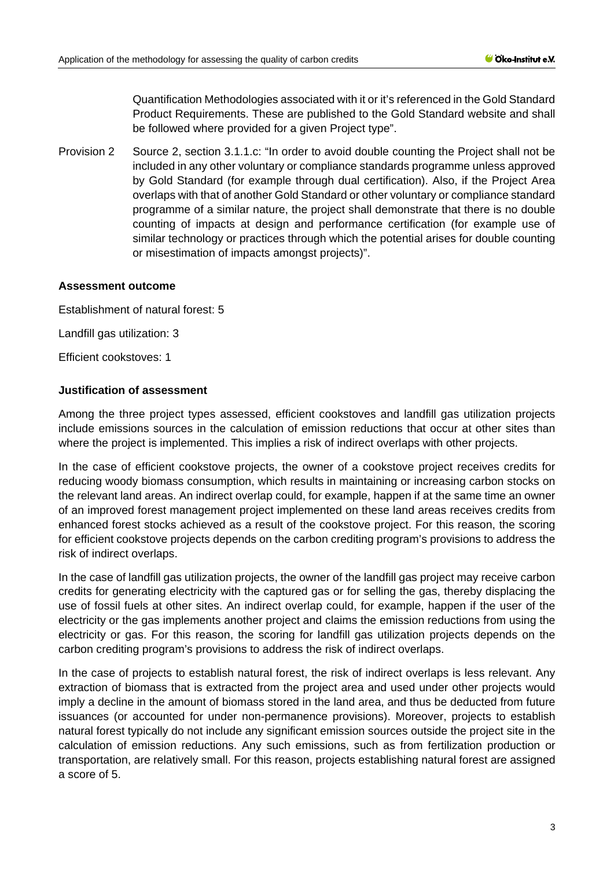Quantification Methodologies associated with it or it's referenced in the Gold Standard Product Requirements. These are published to the Gold Standard website and shall be followed where provided for a given Project type".

Provision 2 Source 2, section 3.1.1.c: "In order to avoid double counting the Project shall not be included in any other voluntary or compliance standards programme unless approved by Gold Standard (for example through dual certification). Also, if the Project Area overlaps with that of another Gold Standard or other voluntary or compliance standard programme of a similar nature, the project shall demonstrate that there is no double counting of impacts at design and performance certification (for example use of similar technology or practices through which the potential arises for double counting or misestimation of impacts amongst projects)".

#### **Assessment outcome**

Establishment of natural forest: 5

Landfill gas utilization: 3

Efficient cookstoves: 1

#### **Justification of assessment**

Among the three project types assessed, efficient cookstoves and landfill gas utilization projects include emissions sources in the calculation of emission reductions that occur at other sites than where the project is implemented. This implies a risk of indirect overlaps with other projects.

In the case of efficient cookstove projects, the owner of a cookstove project receives credits for reducing woody biomass consumption, which results in maintaining or increasing carbon stocks on the relevant land areas. An indirect overlap could, for example, happen if at the same time an owner of an improved forest management project implemented on these land areas receives credits from enhanced forest stocks achieved as a result of the cookstove project. For this reason, the scoring for efficient cookstove projects depends on the carbon crediting program's provisions to address the risk of indirect overlaps.

In the case of landfill gas utilization projects, the owner of the landfill gas project may receive carbon credits for generating electricity with the captured gas or for selling the gas, thereby displacing the use of fossil fuels at other sites. An indirect overlap could, for example, happen if the user of the electricity or the gas implements another project and claims the emission reductions from using the electricity or gas. For this reason, the scoring for landfill gas utilization projects depends on the carbon crediting program's provisions to address the risk of indirect overlaps.

In the case of projects to establish natural forest, the risk of indirect overlaps is less relevant. Any extraction of biomass that is extracted from the project area and used under other projects would imply a decline in the amount of biomass stored in the land area, and thus be deducted from future issuances (or accounted for under non-permanence provisions). Moreover, projects to establish natural forest typically do not include any significant emission sources outside the project site in the calculation of emission reductions. Any such emissions, such as from fertilization production or transportation, are relatively small. For this reason, projects establishing natural forest are assigned a score of 5.